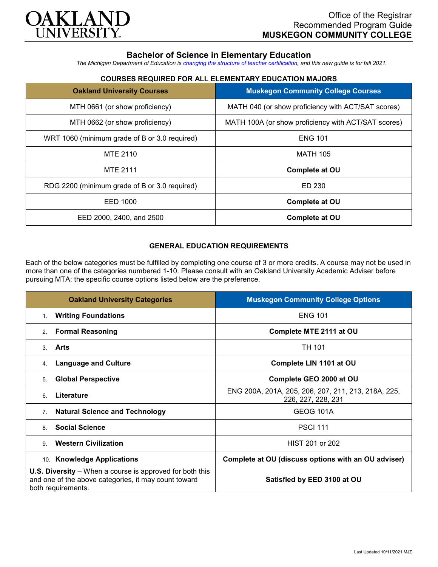

# **Bachelor of Science in Elementary Education**

*The Michigan Department of Education is [changing the structure of teacher certification,](https://docs.google.com/document/d/1W1uUK14Njx6WAB56T4jHbat65OZyg6TS04LdNWMXEcI/edit) and this new guide is for fall 2021.*

### **COURSES REQUIRED FOR ALL ELEMENTARY EDUCATION MAJORS**

| <b>Oakland University Courses</b>             | <b>Muskegon Community College Courses</b>           |
|-----------------------------------------------|-----------------------------------------------------|
| MTH 0661 (or show proficiency)                | MATH 040 (or show proficiency with ACT/SAT scores)  |
| MTH 0662 (or show proficiency)                | MATH 100A (or show proficiency with ACT/SAT scores) |
| WRT 1060 (minimum grade of B or 3.0 required) | <b>ENG 101</b>                                      |
| <b>MTE 2110</b>                               | <b>MATH 105</b>                                     |
| <b>MTE 2111</b>                               | <b>Complete at OU</b>                               |
| RDG 2200 (minimum grade of B or 3.0 required) | ED 230                                              |
| EED 1000                                      | <b>Complete at OU</b>                               |
| EED 2000, 2400, and 2500                      | <b>Complete at OU</b>                               |

# **GENERAL EDUCATION REQUIREMENTS**

Each of the below categories must be fulfilled by completing one course of 3 or more credits. A course may not be used in more than one of the categories numbered 1-10. Please consult with an Oakland University Academic Adviser before pursuing MTA: the specific course options listed below are the preference.

| <b>Oakland University Categories</b>                                                                                                          | <b>Muskegon Community College Options</b>                                 |
|-----------------------------------------------------------------------------------------------------------------------------------------------|---------------------------------------------------------------------------|
| <b>Writing Foundations</b><br>1.                                                                                                              | <b>ENG 101</b>                                                            |
| <b>Formal Reasoning</b><br>2.                                                                                                                 | Complete MTE 2111 at OU                                                   |
| Arts<br>$\mathcal{S}$                                                                                                                         | TH 101                                                                    |
| <b>Language and Culture</b><br>4.                                                                                                             | Complete LIN 1101 at OU                                                   |
| <b>Global Perspective</b><br>5.                                                                                                               | Complete GEO 2000 at OU                                                   |
| Literature<br>6                                                                                                                               | ENG 200A, 201A, 205, 206, 207, 211, 213, 218A, 225,<br>226, 227, 228, 231 |
| <b>Natural Science and Technology</b><br>7 <sub>1</sub>                                                                                       | <b>GEOG 101A</b>                                                          |
| <b>Social Science</b><br>8                                                                                                                    | <b>PSCI 111</b>                                                           |
| <b>Western Civilization</b><br>9                                                                                                              | HIST 201 or 202                                                           |
| <b>Knowledge Applications</b><br>10.                                                                                                          | Complete at OU (discuss options with an OU adviser)                       |
| <b>U.S. Diversity</b> – When a course is approved for both this<br>and one of the above categories, it may count toward<br>both requirements. | Satisfied by EED 3100 at OU                                               |